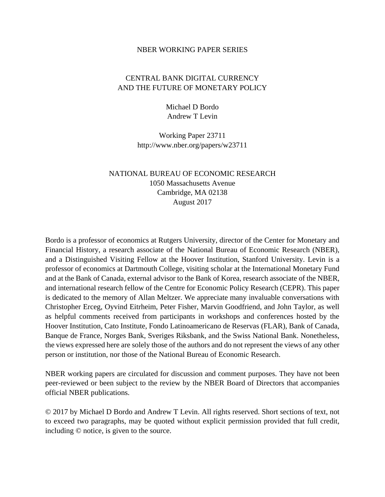#### NBER WORKING PAPER SERIES

## CENTRAL BANK DIGITAL CURRENCY AND THE FUTURE OF MONETARY POLICY

Michael D Bordo Andrew T Levin

Working Paper 23711 http://www.nber.org/papers/w23711

# NATIONAL BUREAU OF ECONOMIC RESEARCH 1050 Massachusetts Avenue Cambridge, MA 02138 August 2017

Bordo is a professor of economics at Rutgers University, director of the Center for Monetary and Financial History, a research associate of the National Bureau of Economic Research (NBER), and a Distinguished Visiting Fellow at the Hoover Institution, Stanford University. Levin is a professor of economics at Dartmouth College, visiting scholar at the International Monetary Fund and at the Bank of Canada, external advisor to the Bank of Korea, research associate of the NBER, and international research fellow of the Centre for Economic Policy Research (CEPR). This paper is dedicated to the memory of Allan Meltzer. We appreciate many invaluable conversations with Christopher Erceg, Oyvind Eitrheim, Peter Fisher, Marvin Goodfriend, and John Taylor, as well as helpful comments received from participants in workshops and conferences hosted by the Hoover Institution, Cato Institute, Fondo Latinoamericano de Reservas (FLAR), Bank of Canada, Banque de France, Norges Bank, Sveriges Riksbank, and the Swiss National Bank. Nonetheless, the views expressed here are solely those of the authors and do not represent the views of any other person or institution, nor those of the National Bureau of Economic Research.

NBER working papers are circulated for discussion and comment purposes. They have not been peer-reviewed or been subject to the review by the NBER Board of Directors that accompanies official NBER publications.

© 2017 by Michael D Bordo and Andrew T Levin. All rights reserved. Short sections of text, not to exceed two paragraphs, may be quoted without explicit permission provided that full credit, including © notice, is given to the source.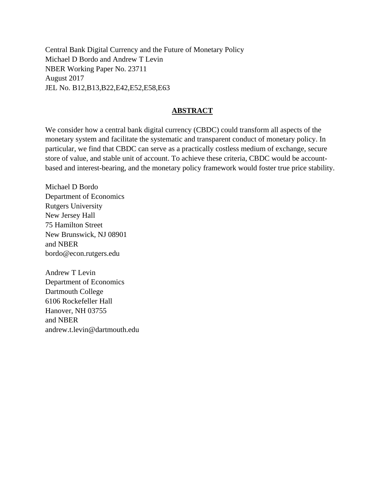Central Bank Digital Currency and the Future of Monetary Policy Michael D Bordo and Andrew T Levin NBER Working Paper No. 23711 August 2017 JEL No. B12,B13,B22,E42,E52,E58,E63

## **ABSTRACT**

We consider how a central bank digital currency (CBDC) could transform all aspects of the monetary system and facilitate the systematic and transparent conduct of monetary policy. In particular, we find that CBDC can serve as a practically costless medium of exchange, secure store of value, and stable unit of account. To achieve these criteria, CBDC would be accountbased and interest-bearing, and the monetary policy framework would foster true price stability.

Michael D Bordo Department of Economics Rutgers University New Jersey Hall 75 Hamilton Street New Brunswick, NJ 08901 and NBER bordo@econ.rutgers.edu

Andrew T Levin Department of Economics Dartmouth College 6106 Rockefeller Hall Hanover, NH 03755 and NBER andrew.t.levin@dartmouth.edu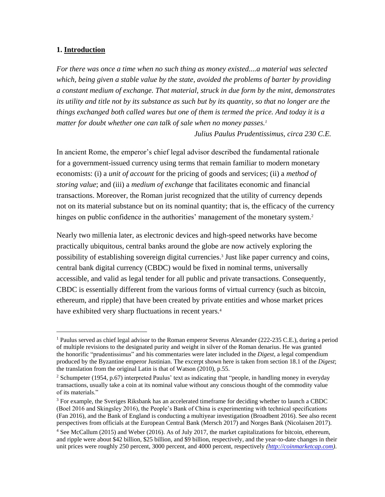### **1. Introduction**

 $\overline{a}$ 

*For there was once a time when no such thing as money existed....a material was selected which, being given a stable value by the state, avoided the problems of barter by providing a constant medium of exchange. That material, struck in due form by the mint, demonstrates its utility and title not by its substance as such but by its quantity, so that no longer are the things exchanged both called wares but one of them is termed the price. And today it is a matter for doubt whether one can talk of sale when no money passes.<sup>1</sup>*

 *Julius Paulus Prudentissimus, circa 230 C.E.* 

In ancient Rome, the emperor's chief legal advisor described the fundamental rationale for a government-issued currency using terms that remain familiar to modern monetary economists: (i) a *unit of account* for the pricing of goods and services; (ii) a *method of storing value*; and (iii) a *medium of exchange* that facilitates economic and financial transactions. Moreover, the Roman jurist recognized that the utility of currency depends not on its material substance but on its nominal quantity; that is, the efficacy of the currency hinges on public confidence in the authorities' management of the monetary system.<sup>2</sup>

Nearly two millenia later, as electronic devices and high-speed networks have become practically ubiquitous, central banks around the globe are now actively exploring the possibility of establishing sovereign digital currencies.<sup>3</sup> Just like paper currency and coins, central bank digital currency (CBDC) would be fixed in nominal terms, universally accessible, and valid as legal tender for all public and private transactions. Consequently, CBDC is essentially different from the various forms of virtual currency (such as bitcoin, ethereum, and ripple) that have been created by private entities and whose market prices have exhibited very sharp fluctuations in recent years.<sup>4</sup>

<sup>1</sup> Paulus served as chief legal advisor to the Roman emperor Severus Alexander (222-235 C.E.), during a period of multiple revisions to the designated purity and weight in silver of the Roman denarius. He was granted the honorific "prudentissimus" and his commentaries were later included in the *Digest,* a legal compendium produced by the Byzantine emperor Justinian. The excerpt shown here is taken from section 18.1 of the *Digest*; the translation from the original Latin is that of Watson (2010), p.55.

<sup>&</sup>lt;sup>2</sup> Schumpeter (1954, p.67) interpreted Paulus' text as indicating that "people, in handling money in everyday transactions, usually take a coin at its nominal value without any conscious thought of the commodity value of its materials."

 $3$  For example, the Sveriges Riksbank has an accelerated timeframe for deciding whether to launch a CBDC (Boel 2016 and Skingsley 2016), the People's Bank of China is experimenting with technical specifications (Fan 2016), and the Bank of England is conducting a multiyear investigation (Broadbent 2016). See also recent perspectives from officials at the European Central Bank (Mersch 2017) and Norges Bank (Nicolaisen 2017).

<sup>4</sup> See McCallum (2015) and Weber (2016). As of July 2017, the market capitalizations for bitcoin, ethereum, and ripple were about \$42 billion, \$25 billion, and \$9 billion, respectively, and the year-to-date changes in their unit prices were roughly 250 percent, 3000 percent, and 4000 percent, respectively *[\(http://coinmarketcap.com\)](http://coinmarketcap.com/)*.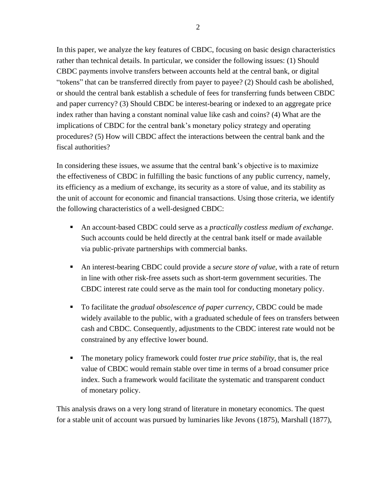In this paper, we analyze the key features of CBDC, focusing on basic design characteristics rather than technical details. In particular, we consider the following issues: (1) Should CBDC payments involve transfers between accounts held at the central bank, or digital "tokens" that can be transferred directly from payer to payee? (2) Should cash be abolished, or should the central bank establish a schedule of fees for transferring funds between CBDC and paper currency? (3) Should CBDC be interest-bearing or indexed to an aggregate price index rather than having a constant nominal value like cash and coins? (4) What are the implications of CBDC for the central bank's monetary policy strategy and operating procedures? (5) How will CBDC affect the interactions between the central bank and the fiscal authorities?

In considering these issues, we assume that the central bank's objective is to maximize the effectiveness of CBDC in fulfilling the basic functions of any public currency, namely, its efficiency as a medium of exchange, its security as a store of value, and its stability as the unit of account for economic and financial transactions. Using those criteria, we identify the following characteristics of a well-designed CBDC:

- An account-based CBDC could serve as a *practically costless medium of exchange*. Such accounts could be held directly at the central bank itself or made available via public-private partnerships with commercial banks.
- An interest-bearing CBDC could provide a *secure store of value*, with a rate of return in line with other risk-free assets such as short-term government securities. The CBDC interest rate could serve as the main tool for conducting monetary policy.
- To facilitate the *gradual obsolescence of paper currency*, CBDC could be made widely available to the public, with a graduated schedule of fees on transfers between cash and CBDC. Consequently, adjustments to the CBDC interest rate would not be constrained by any effective lower bound.
- The monetary policy framework could foster *true price stability*, that is, the real value of CBDC would remain stable over time in terms of a broad consumer price index. Such a framework would facilitate the systematic and transparent conduct of monetary policy.

This analysis draws on a very long strand of literature in monetary economics. The quest for a stable unit of account was pursued by luminaries like Jevons (1875), Marshall (1877),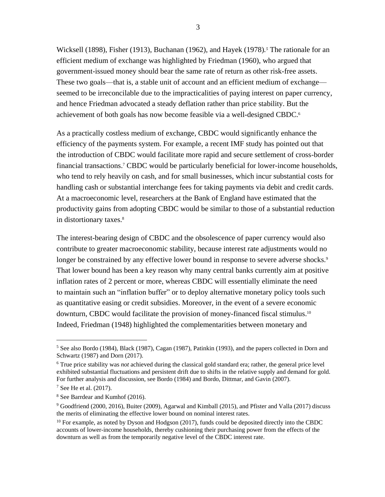Wicksell (1898), Fisher (1913), Buchanan (1962), and Hayek (1978)*. <sup>5</sup>* The rationale for an efficient medium of exchange was highlighted by Friedman (1960), who argued that government-issued money should bear the same rate of return as other risk-free assets. These two goals—that is, a stable unit of account and an efficient medium of exchange seemed to be irreconcilable due to the impracticalities of paying interest on paper currency, and hence Friedman advocated a steady deflation rather than price stability. But the achievement of both goals has now become feasible via a well-designed CBDC. 6

As a practically costless medium of exchange, CBDC would significantly enhance the efficiency of the payments system. For example, a recent IMF study has pointed out that the introduction of CBDC would facilitate more rapid and secure settlement of cross-border financial transactions.<sup>7</sup> CBDC would be particularly beneficial for lower-income households, who tend to rely heavily on cash, and for small businesses, which incur substantial costs for handling cash or substantial interchange fees for taking payments via debit and credit cards. At a macroeconomic level, researchers at the Bank of England have estimated that the productivity gains from adopting CBDC would be similar to those of a substantial reduction in distortionary taxes. 8

The interest-bearing design of CBDC and the obsolescence of paper currency would also contribute to greater macroeconomic stability, because interest rate adjustments would no longer be constrained by any effective lower bound in response to severe adverse shocks.<sup>9</sup> That lower bound has been a key reason why many central banks currently aim at positive inflation rates of 2 percent or more, whereas CBDC will essentially eliminate the need to maintain such an "inflation buffer" or to deploy alternative monetary policy tools such as quantitative easing or credit subsidies. Moreover, in the event of a severe economic downturn, CBDC would facilitate the provision of money-financed fiscal stimulus. 10 Indeed, Friedman (1948) highlighted the complementarities between monetary and

<sup>5</sup> See also Bordo (1984), Black (1987), Cagan (1987), Patinkin (1993), and the papers collected in Dorn and Schwartz (1987) and Dorn (2017).

<sup>6</sup> True price stability was *not* achieved during the classical gold standard era; rather, the general price level exhibited substantial fluctuations and persistent drift due to shifts in the relative supply and demand for gold. For further analysis and discussion, see Bordo (1984) and Bordo, Dittmar, and Gavin (2007).

 $<sup>7</sup>$  See He et al. (2017).</sup>

<sup>8</sup> See Barrdear and Kumhof (2016).

<sup>9</sup> Goodfriend (2000, 2016), Buiter (2009), Agarwal and Kimball (2015), and Pfister and Valla (2017) discuss the merits of eliminating the effective lower bound on nominal interest rates.

 $10$  For example, as noted by Dyson and Hodgson (2017), funds could be deposited directly into the CBDC accounts of lower-income households, thereby cushioning their purchasing power from the effects of the downturn as well as from the temporarily negative level of the CBDC interest rate.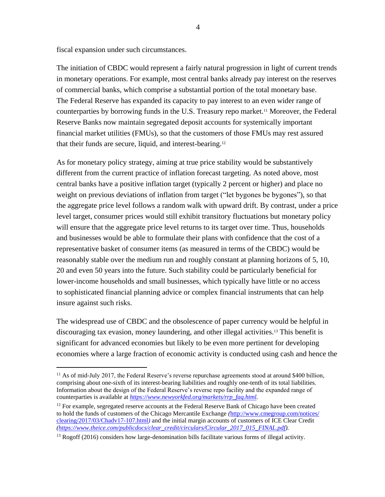fiscal expansion under such circumstances.

 $\overline{a}$ 

The initiation of CBDC would represent a fairly natural progression in light of current trends in monetary operations. For example, most central banks already pay interest on the reserves of commercial banks, which comprise a substantial portion of the total monetary base. The Federal Reserve has expanded its capacity to pay interest to an even wider range of counterparties by borrowing funds in the U.S. Treasury repo market.<sup>11</sup> Moreover, the Federal Reserve Banks now maintain segregated deposit accounts for systemically important financial market utilities (FMUs), so that the customers of those FMUs may rest assured that their funds are secure, liquid, and interest-bearing.<sup>12</sup>

As for monetary policy strategy, aiming at true price stability would be substantively different from the current practice of inflation forecast targeting. As noted above, most central banks have a positive inflation target (typically 2 percent or higher) and place no weight on previous deviations of inflation from target ("let bygones be bygones"), so that the aggregate price level follows a random walk with upward drift. By contrast, under a price level target, consumer prices would still exhibit transitory fluctuations but monetary policy will ensure that the aggregate price level returns to its target over time. Thus, households and businesses would be able to formulate their plans with confidence that the cost of a representative basket of consumer items (as measured in terms of the CBDC) would be reasonably stable over the medium run and roughly constant at planning horizons of 5, 10, 20 and even 50 years into the future. Such stability could be particularly beneficial for lower-income households and small businesses, which typically have little or no access to sophisticated financial planning advice or complex financial instruments that can help insure against such risks.

The widespread use of CBDC and the obsolescence of paper currency would be helpful in discouraging tax evasion, money laundering, and other illegal activities.<sup>13</sup> This benefit is significant for advanced economies but likely to be even more pertinent for developing economies where a large fraction of economic activity is conducted using cash and hence the

 $11$  As of mid-July 2017, the Federal Reserve's reverse repurchase agreements stood at around \$400 billion, comprising about one-sixth of its interest-bearing liabilities and roughly one-tenth of its total liabilities*.* Information about the design of the Federal Reserve's reverse repo facility and the expanded range of counterparties is available at *[https://www.newyorkfed.org/markets/rrp\\_faq.html.](https://www.newyorkfed.org/markets/rrp_faq.html)*

<sup>&</sup>lt;sup>12</sup> For example, segregated reserve accounts at the Federal Reserve Bank of Chicago have been created to hold the funds of customers of the Chicago Mercantile Exchange *(*[http://www.cmegroup.com/notices/](http://www.cmegroup.com/notices‌/clearing‌/2017/03/Chadv17-107.html) [clearing/2017/03/Chadv17-107.html](http://www.cmegroup.com/notices‌/clearing‌/2017/03/Chadv17-107.html)*)* and the initial margin accounts of customers of ICE Clear Credit *[\(https://www.theice.com/publicdocs/clear\\_credit/circulars/Circular\\_2017\\_015\\_FINAL.pdf\)](https://www.theice.com/publicdocs/clear_credit/circulars/Circular_2017_015_FINAL.pdf).*

<sup>&</sup>lt;sup>13</sup> Rogoff (2016) considers how large-denomination bills facilitate various forms of illegal activity.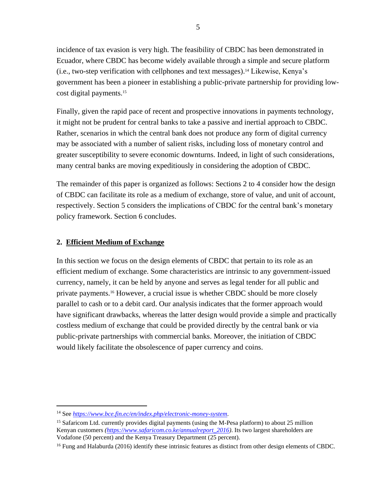incidence of tax evasion is very high. The feasibility of CBDC has been demonstrated in Ecuador, where CBDC has become widely available through a simple and secure platform (i.e., two-step verification with cellphones and text messages). <sup>14</sup> Likewise, Kenya's government has been a pioneer in establishing a public-private partnership for providing lowcost digital payments.<sup>15</sup>

Finally, given the rapid pace of recent and prospective innovations in payments technology, it might not be prudent for central banks to take a passive and inertial approach to CBDC. Rather, scenarios in which the central bank does not produce any form of digital currency may be associated with a number of salient risks, including loss of monetary control and greater susceptibility to severe economic downturns. Indeed, in light of such considerations, many central banks are moving expeditiously in considering the adoption of CBDC.

The remainder of this paper is organized as follows: Sections 2 to 4 consider how the design of CBDC can facilitate its role as a medium of exchange, store of value, and unit of account, respectively. Section 5 considers the implications of CBDC for the central bank's monetary policy framework. Section 6 concludes.

## **2. Efficient Medium of Exchange**

 $\overline{a}$ 

In this section we focus on the design elements of CBDC that pertain to its role as an efficient medium of exchange. Some characteristics are intrinsic to any government-issued currency, namely, it can be held by anyone and serves as legal tender for all public and private payments.<sup>16</sup> However, a crucial issue is whether CBDC should be more closely parallel to cash or to a debit card. Our analysis indicates that the former approach would have significant drawbacks, whereas the latter design would provide a simple and practically costless medium of exchange that could be provided directly by the central bank or via public-private partnerships with commercial banks. Moreover, the initiation of CBDC would likely facilitate the obsolescence of paper currency and coins.

<sup>14</sup> See *<https://www.bce.fin.ec/en/index.php/electronic-money-system>*.

<sup>&</sup>lt;sup>15</sup> Safaricom Ltd. currently provides digital payments (using the M-Pesa platform) to about 25 million Kenyan customers *[\(https://www.safaricom.co.ke/annualreport\\_2016\)](https://www.safaricom.co.ke/annualreport_2016)*. Its two largest shareholders are Vodafone (50 percent) and the Kenya Treasury Department (25 percent).

<sup>&</sup>lt;sup>16</sup> Fung and Halaburda (2016) identify these intrinsic features as distinct from other design elements of CBDC.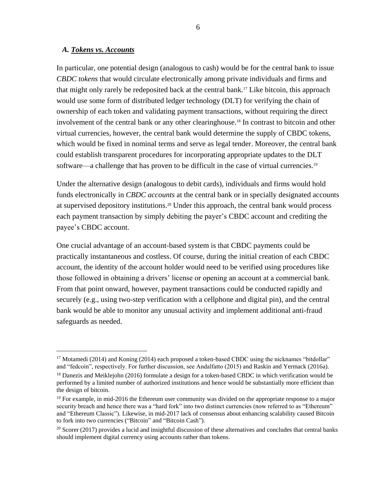#### *A. Tokens vs. Accounts*

 $\overline{a}$ 

In particular, one potential design (analogous to cash) would be for the central bank to issue *CBDC tokens* that would circulate electronically among private individuals and firms and that might only rarely be redeposited back at the central bank.<sup>17</sup> Like bitcoin, this approach would use some form of distributed ledger technology (DLT) for verifying the chain of ownership of each token and validating payment transactions, without requiring the direct involvement of the central bank or any other clearinghouse. <sup>18</sup> In contrast to bitcoin and other virtual currencies, however, the central bank would determine the supply of CBDC tokens, which would be fixed in nominal terms and serve as legal tender. Moreover, the central bank could establish transparent procedures for incorporating appropriate updates to the DLT software—a challenge that has proven to be difficult in the case of virtual currencies.<sup>19</sup>

Under the alternative design (analogous to debit cards), individuals and firms would hold funds electronically in *CBDC accounts* at the central bank or in specially designated accounts at supervised depository institutions.<sup>20</sup> Under this approach, the central bank would process each payment transaction by simply debiting the payer's CBDC account and crediting the payee's CBDC account.

One crucial advantage of an account-based system is that CBDC payments could be practically instantaneous and costless. Of course, during the initial creation of each CBDC account, the identity of the account holder would need to be verified using procedures like those followed in obtaining a drivers' license or opening an account at a commercial bank. From that point onward, however, payment transactions could be conducted rapidly and securely (e.g., using two-step verification with a cellphone and digital pin), and the central bank would be able to monitor any unusual activity and implement additional anti-fraud safeguards as needed.

 $17$  Motamedi (2014) and Koning (2014) each proposed a token-based CBDC using the nicknames "bitdollar" and "fedcoin", respectively. For further discussion, see Andalfatto (2015) and Raskin and Yermack (2016a).

 $18$  Danezis and Meiklejohn (2016) formulate a design for a token-based CBDC in which verification would be performed by a limited number of authorized institutions and hence would be substantially more efficient than the design of bitcoin.

<sup>&</sup>lt;sup>19</sup> For example, in mid-2016 the Ethereum user community was divided on the appropriate response to a major security breach and hence there was a "hard fork" into two distinct currencies (now referred to as "Ethereum" and "Ethereum Classic"). Likewise, in mid-2017 lack of consensus about enhancing scalability caused Bitcoin to fork into two currencies ("Bitcoin" and "Bitcoin Cash").

 $^{20}$  Scorer (2017) provides a lucid and insightful discussion of these alternatives and concludes that central banks should implement digital currency using accounts rather than tokens.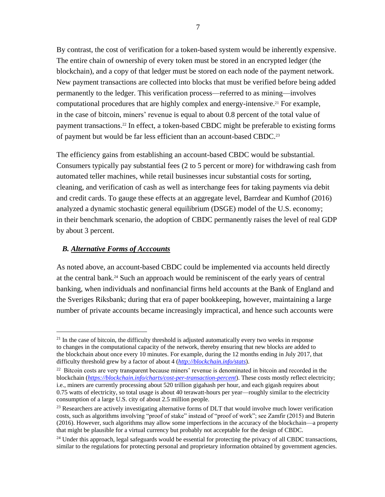By contrast, the cost of verification for a token-based system would be inherently expensive. The entire chain of ownership of every token must be stored in an encrypted ledger (the blockchain), and a copy of that ledger must be stored on each node of the payment network. New payment transactions are collected into blocks that must be verified before being added permanently to the ledger. This verification process—referred to as mining—involves computational procedures that are highly complex and energy-intensive. <sup>21</sup> For example, in the case of bitcoin, miners' revenue is equal to about 0.8 percent of the total value of payment transactions.<sup>22</sup> In effect, a token-based CBDC might be preferable to existing forms of payment but would be far less efficient than an account-based CBDC.<sup>23</sup>

The efficiency gains from establishing an account-based CBDC would be substantial. Consumers typically pay substantial fees (2 to 5 percent or more) for withdrawing cash from automated teller machines, while retail businesses incur substantial costs for sorting, cleaning, and verification of cash as well as interchange fees for taking payments via debit and credit cards. To gauge these effects at an aggregate level, Barrdear and Kumhof (2016) analyzed a dynamic stochastic general equilibrium (DSGE) model of the U.S. economy; in their benchmark scenario, the adoption of CBDC permanently raises the level of real GDP by about 3 percent.

### *B. Alternative Forms of Acccounts*

 $\overline{a}$ 

As noted above, an account-based CBDC could be implemented via accounts held directly at the central bank.<sup>24</sup> Such an approach would be reminiscent of the early years of central banking, when individuals and nonfinancial firms held accounts at the Bank of England and the Sveriges Riksbank; during that era of paper bookkeeping, however, maintaining a large number of private accounts became increasingly impractical, and hence such accounts were

<sup>&</sup>lt;sup>21</sup> In the case of bitcoin, the difficulty threshold is adjusted automatically every two weeks in response to changes in the computational capacity of the network, thereby ensuring that new blocks are added to the blockchain about once every 10 minutes. For example, during the 12 months ending in July 2017, that difficulty threshold grew by a factor of about 4 (*<http://blockchain.info/stats>*).

 $22$  Bitcoin costs are very transparent because miners' revenue is denominated in bitcoin and recorded in the blockchain (*<https://blockchain.info/charts/cost-per-transaction-percent>*). These costs mostly reflect electricity; i.e., miners are currently processing about 520 trillion gigahash per hour, and each gigash requires about 0.75 watts of electricity, so total usage is about 40 terawatt-hours per year—roughly similar to the electricity consumption of a large U.S. city of about 2.5 million people.

<sup>&</sup>lt;sup>23</sup> Researchers are actively investigating alternative forms of DLT that would involve much lower verification costs, such as algorithms involving "proof of stake" instead of "proof of work"; see Zamfir (2015) and Buterin (2016). However, such algorithms may allow some imperfections in the accuracy of the blockchain—a property that might be plausible for a virtual currency but probably not acceptable for the design of CBDC.

 $^{24}$  Under this approach, legal safeguards would be essential for protecting the privacy of all CBDC transactions, similar to the regulations for protecting personal and proprietary information obtained by government agencies.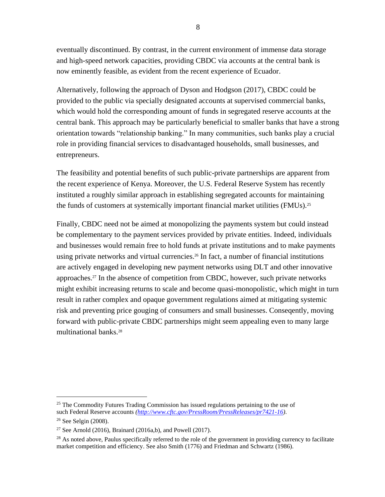eventually discontinued. By contrast, in the current environment of immense data storage and high-speed network capacities, providing CBDC via accounts at the central bank is now eminently feasible, as evident from the recent experience of Ecuador.

Alternatively, following the approach of Dyson and Hodgson (2017), CBDC could be provided to the public via specially designated accounts at supervised commercial banks, which would hold the corresponding amount of funds in segregated reserve accounts at the central bank. This approach may be particularly beneficial to smaller banks that have a strong orientation towards "relationship banking." In many communities, such banks play a crucial role in providing financial services to disadvantaged households, small businesses, and entrepreneurs.

The feasibility and potential benefits of such public-private partnerships are apparent from the recent experience of Kenya. Moreover, the U.S. Federal Reserve System has recently instituted a roughly similar approach in establishing segregated accounts for maintaining the funds of customers at systemically important financial market utilities (FMUs).<sup>25</sup>

Finally, CBDC need not be aimed at monopolizing the payments system but could instead be complementary to the payment services provided by private entities. Indeed, individuals and businesses would remain free to hold funds at private institutions and to make payments using private networks and virtual currencies. <sup>26</sup> In fact, a number of financial institutions are actively engaged in developing new payment networks using DLT and other innovative approaches. <sup>27</sup> In the absence of competition from CBDC, however, such private networks might exhibit increasing returns to scale and become quasi-monopolistic, which might in turn result in rather complex and opaque government regulations aimed at mitigating systemic risk and preventing price gouging of consumers and small businesses. Conseqently, moving forward with public-private CBDC partnerships might seem appealing even to many large multinational banks. 28

 $25$  The Commodity Futures Trading Commission has issued regulations pertaining to the use of such Federal Reserve accounts *[\(http://www.cftc.gov/PressRoom/PressReleases/pr7421-16\)](http://www.cftc.gov/PressRoom/PressReleases/pr7421-16)*.

<sup>26</sup> See Selgin (2008).

<sup>&</sup>lt;sup>27</sup> See Arnold (2016), Brainard (2016a,b), and Powell (2017).

 $28$  As noted above, Paulus specifically referred to the role of the government in providing currency to facilitate market competition and efficiency. See also Smith (1776) and Friedman and Schwartz (1986).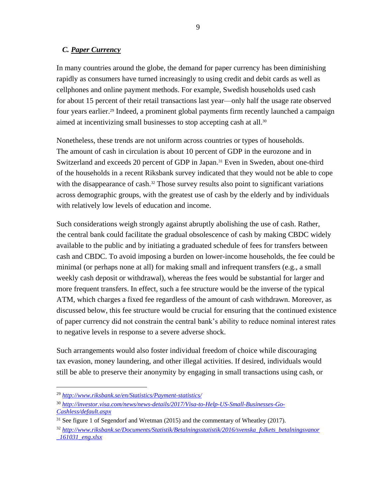### *C. Paper Currency*

In many countries around the globe, the demand for paper currency has been diminishing rapidly as consumers have turned increasingly to using credit and debit cards as well as cellphones and online payment methods. For example, Swedish households used cash for about 15 percent of their retail transactions last year—only half the usage rate observed four years earlier. <sup>29</sup> Indeed, a prominent global payments firm recently launched a campaign aimed at incentivizing small businesses to stop accepting cash at all.<sup>30</sup>

Nonetheless, these trends are not uniform across countries or types of households. The amount of cash in circulation is about 10 percent of GDP in the eurozone and in Switzerland and exceeds 20 percent of GDP in Japan.<sup>31</sup> Even in Sweden, about one-third of the households in a recent Riksbank survey indicated that they would not be able to cope with the disappearance of cash.<sup>32</sup> Those survey results also point to significant variations across demographic groups, with the greatest use of cash by the elderly and by individuals with relatively low levels of education and income.

Such considerations weigh strongly against abruptly abolishing the use of cash. Rather, the central bank could facilitate the gradual obsolescence of cash by making CBDC widely available to the public and by initiating a graduated schedule of fees for transfers between cash and CBDC. To avoid imposing a burden on lower-income households, the fee could be minimal (or perhaps none at all) for making small and infrequent transfers (e.g., a small weekly cash deposit or withdrawal), whereas the fees would be substantial for larger and more frequent transfers. In effect, such a fee structure would be the inverse of the typical ATM, which charges a fixed fee regardless of the amount of cash withdrawn. Moreover, as discussed below, this fee structure would be crucial for ensuring that the continued existence of paper currency did not constrain the central bank's ability to reduce nominal interest rates to negative levels in response to a severe adverse shock.

Such arrangements would also foster individual freedom of choice while discouraging tax evasion, money laundering, and other illegal activities. If desired, individuals would still be able to preserve their anonymity by engaging in small transactions using cash, or

<sup>29</sup> *<http://www.riksbank.se/en/Statistics/Payment-statistics/>*

<sup>30</sup> *[http://investor.visa.com/news/news-details/2017/Visa-to-Help-US-Small-Businesses-Go-](http://investor.visa.com/news/news-details/2017/Visa-to-Help-US-Small-Businesses-Go-Cashless/default.aspx)[Cashless/default.aspx](http://investor.visa.com/news/news-details/2017/Visa-to-Help-US-Small-Businesses-Go-Cashless/default.aspx)*

 $31$  See figure 1 of Segendorf and Wretman (2015) and the commentary of Wheatley (2017).

<sup>32</sup> *[http://www.riksbank.se/Documents/Statistik/Betalningsstatistik/2016/svenska\\_folkets\\_betalningsvanor](http://www.riksbank.se/Documents/Statistik/Betalningsstatistik/2016/svenska_folkets_betalningsvanor_161031_eng.xlsx) [\\_161031\\_eng.xlsx](http://www.riksbank.se/Documents/Statistik/Betalningsstatistik/2016/svenska_folkets_betalningsvanor_161031_eng.xlsx)*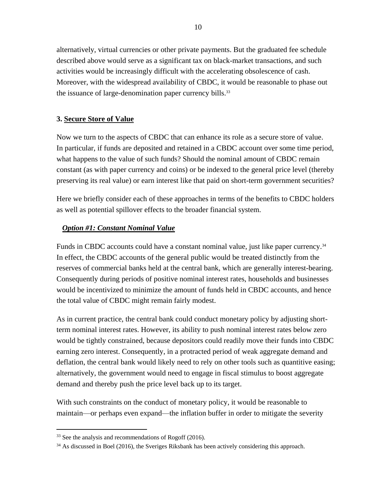alternatively, virtual currencies or other private payments. But the graduated fee schedule described above would serve as a significant tax on black-market transactions, and such activities would be increasingly difficult with the accelerating obsolescence of cash. Moreover, with the widespread availability of CBDC, it would be reasonable to phase out the issuance of large-denomination paper currency bills.<sup>33</sup>

### **3. Secure Store of Value**

Now we turn to the aspects of CBDC that can enhance its role as a secure store of value. In particular, if funds are deposited and retained in a CBDC account over some time period, what happens to the value of such funds? Should the nominal amount of CBDC remain constant (as with paper currency and coins) or be indexed to the general price level (thereby preserving its real value) or earn interest like that paid on short-term government securities?

Here we briefly consider each of these approaches in terms of the benefits to CBDC holders as well as potential spillover effects to the broader financial system.

#### *Option #1: Constant Nominal Value*

Funds in CBDC accounts could have a constant nominal value, just like paper currency.<sup>34</sup> In effect, the CBDC accounts of the general public would be treated distinctly from the reserves of commercial banks held at the central bank, which are generally interest-bearing. Consequently during periods of positive nominal interest rates, households and businesses would be incentivized to minimize the amount of funds held in CBDC accounts, and hence the total value of CBDC might remain fairly modest.

As in current practice, the central bank could conduct monetary policy by adjusting shortterm nominal interest rates. However, its ability to push nominal interest rates below zero would be tightly constrained, because depositors could readily move their funds into CBDC earning zero interest. Consequently, in a protracted period of weak aggregate demand and deflation, the central bank would likely need to rely on other tools such as quantitive easing; alternatively, the government would need to engage in fiscal stimulus to boost aggregate demand and thereby push the price level back up to its target.

With such constraints on the conduct of monetary policy, it would be reasonable to maintain—or perhaps even expand—the inflation buffer in order to mitigate the severity

<sup>&</sup>lt;sup>33</sup> See the analysis and recommendations of Rogoff (2016).

 $34$  As discussed in Boel (2016), the Sveriges Riksbank has been actively considering this approach.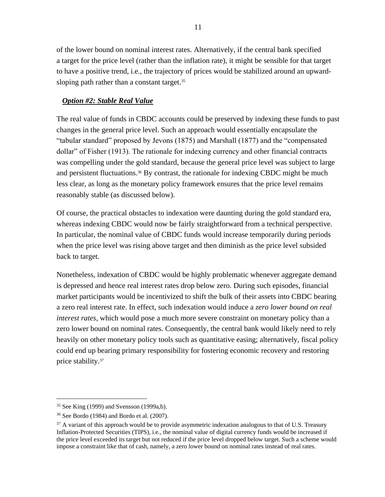of the lower bound on nominal interest rates. Alternatively, if the central bank specified a target for the price level (rather than the inflation rate), it might be sensible for that target to have a positive trend, i.e., the trajectory of prices would be stabilized around an upwardsloping path rather than a constant target.<sup>35</sup>

## *Option #2: Stable Real Value*

The real value of funds in CBDC accounts could be preserved by indexing these funds to past changes in the general price level. Such an approach would essentially encapsulate the "tabular standard" proposed by Jevons (1875) and Marshall (1877) and the "compensated dollar" of Fisher (1913). The rationale for indexing currency and other financial contracts was compelling under the gold standard, because the general price level was subject to large and persistent fluctuations. <sup>36</sup> By contrast, the rationale for indexing CBDC might be much less clear, as long as the monetary policy framework ensures that the price level remains reasonably stable (as discussed below).

Of course, the practical obstacles to indexation were daunting during the gold standard era, whereas indexing CBDC would now be fairly straightforward from a technical perspective. In particular, the nominal value of CBDC funds would increase temporarily during periods when the price level was rising above target and then diminish as the price level subsided back to target.

Nonetheless, indexation of CBDC would be highly problematic whenever aggregate demand is depressed and hence real interest rates drop below zero. During such episodes, financial market participants would be incentivized to shift the bulk of their assets into CBDC bearing a zero real interest rate. In effect, such indexation would induce a *zero lower bound on real interest rates*, which would pose a much more severe constraint on monetary policy than a zero lower bound on nominal rates. Consequently, the central bank would likely need to rely heavily on other monetary policy tools such as quantitative easing; alternatively, fiscal policy could end up bearing primary responsibility for fostering economic recovery and restoring price stability. 37

<sup>35</sup> See King (1999) and Svensson (1999a,b).

<sup>36</sup> See Bordo (1984) and Bordo et al. (2007).

 $37$  A variant of this approach would be to provide asymmetric indexation analogous to that of U.S. Treasury Inflation-Protected Securities (TIPS), i.e., the nominal value of digital currency funds would be increased if the price level exceeded its target but not reduced if the price level dropped below target. Such a scheme would impose a constraint like that of cash, namely, a zero lower bound on nominal rates instead of real rates.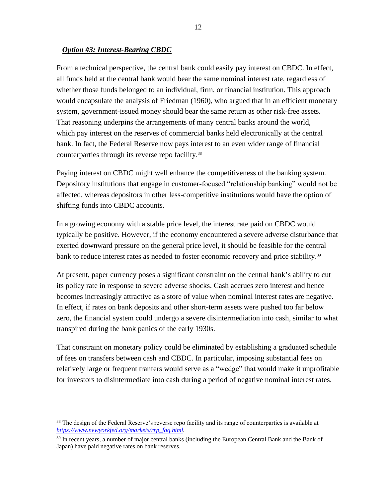### *Option #3: Interest-Bearing CBDC*

 $\overline{a}$ 

From a technical perspective, the central bank could easily pay interest on CBDC. In effect, all funds held at the central bank would bear the same nominal interest rate, regardless of whether those funds belonged to an individual, firm, or financial institution. This approach would encapsulate the analysis of Friedman (1960), who argued that in an efficient monetary system, government-issued money should bear the same return as other risk-free assets. That reasoning underpins the arrangements of many central banks around the world, which pay interest on the reserves of commercial banks held electronically at the central bank. In fact, the Federal Reserve now pays interest to an even wider range of financial counterparties through its reverse repo facility.<sup>38</sup>

Paying interest on CBDC might well enhance the competitiveness of the banking system. Depository institutions that engage in customer-focused "relationship banking" would not be affected, whereas depositors in other less-competitive institutions would have the option of shifting funds into CBDC accounts.

In a growing economy with a stable price level, the interest rate paid on CBDC would typically be positive. However, if the economy encountered a severe adverse disturbance that exerted downward pressure on the general price level, it should be feasible for the central bank to reduce interest rates as needed to foster economic recovery and price stability.<sup>39</sup>

At present, paper currency poses a significant constraint on the central bank's ability to cut its policy rate in response to severe adverse shocks. Cash accrues zero interest and hence becomes increasingly attractive as a store of value when nominal interest rates are negative. In effect, if rates on bank deposits and other short-term assets were pushed too far below zero, the financial system could undergo a severe disintermediation into cash, similar to what transpired during the bank panics of the early 1930s.

That constraint on monetary policy could be eliminated by establishing a graduated schedule of fees on transfers between cash and CBDC. In particular, imposing substantial fees on relatively large or frequent tranfers would serve as a "wedge" that would make it unprofitable for investors to disintermediate into cash during a period of negative nominal interest rates.

<sup>&</sup>lt;sup>38</sup> The design of the Federal Reserve's reverse repo facility and its range of counterparties is available at *[https://www.newyorkfed.org/markets/rrp\\_faq.html.](https://www.newyorkfed.org/markets/rrp_faq.html)*

<sup>&</sup>lt;sup>39</sup> In recent years, a number of major central banks (including the European Central Bank and the Bank of Japan) have paid negative rates on bank reserves.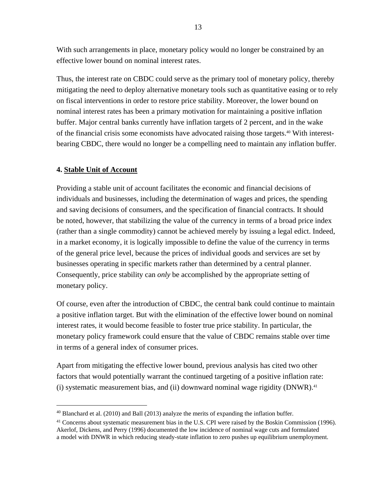With such arrangements in place, monetary policy would no longer be constrained by an effective lower bound on nominal interest rates.

Thus, the interest rate on CBDC could serve as the primary tool of monetary policy, thereby mitigating the need to deploy alternative monetary tools such as quantitative easing or to rely on fiscal interventions in order to restore price stability. Moreover, the lower bound on nominal interest rates has been a primary motivation for maintaining a positive inflation buffer. Major central banks currently have inflation targets of 2 percent, and in the wake of the financial crisis some economists have advocated raising those targets.<sup>40</sup> With interestbearing CBDC, there would no longer be a compelling need to maintain any inflation buffer.

## **4. Stable Unit of Account**

 $\overline{a}$ 

Providing a stable unit of account facilitates the economic and financial decisions of individuals and businesses, including the determination of wages and prices, the spending and saving decisions of consumers, and the specification of financial contracts. It should be noted, however, that stabilizing the value of the currency in terms of a broad price index (rather than a single commodity) cannot be achieved merely by issuing a legal edict. Indeed, in a market economy, it is logically impossible to define the value of the currency in terms of the general price level, because the prices of individual goods and services are set by businesses operating in specific markets rather than determined by a central planner. Consequently, price stability can *only* be accomplished by the appropriate setting of monetary policy.

Of course, even after the introduction of CBDC, the central bank could continue to maintain a positive inflation target. But with the elimination of the effective lower bound on nominal interest rates, it would become feasible to foster true price stability. In particular, the monetary policy framework could ensure that the value of CBDC remains stable over time in terms of a general index of consumer prices.

Apart from mitigating the effective lower bound, previous analysis has cited two other factors that would potentially warrant the continued targeting of a positive inflation rate: (i) systematic measurement bias, and (ii) downward nominal wage rigidity (DNWR). 41

<sup>40</sup> Blanchard et al. (2010) and Ball (2013) analyze the merits of expanding the inflation buffer.

 $41$  Concerns about systematic measurement bias in the U.S. CPI were raised by the Boskin Commission (1996). Akerlof, Dickens, and Perry (1996) documented the low incidence of nominal wage cuts and formulated a model with DNWR in which reducing steady-state inflation to zero pushes up equilibrium unemployment.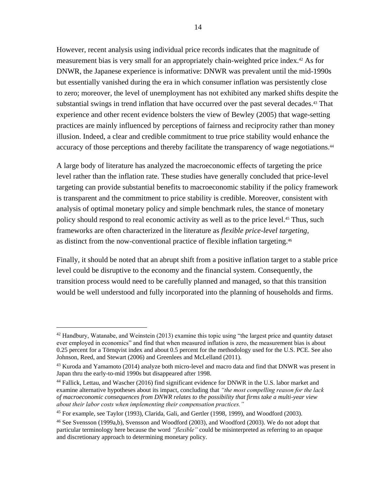However, recent analysis using individual price records indicates that the magnitude of measurement bias is very small for an appropriately chain-weighted price index.<sup>42</sup> As for DNWR, the Japanese experience is informative: DNWR was prevalent until the mid-1990s but essentially vanished during the era in which consumer inflation was persistently close to zero; moreover, the level of unemployment has not exhibited any marked shifts despite the substantial swings in trend inflation that have occurred over the past several decades. <sup>43</sup> That experience and other recent evidence bolsters the view of Bewley (2005) that wage-setting practices are mainly influenced by perceptions of fairness and reciprocity rather than money illusion. Indeed, a clear and credible commitment to true price stability would enhance the accuracy of those perceptions and thereby facilitate the transparency of wage negotiations.<sup>44</sup>

A large body of literature has analyzed the macroeconomic effects of targeting the price level rather than the inflation rate. These studies have generally concluded that price-level targeting can provide substantial benefits to macroeconomic stability if the policy framework is transparent and the commitment to price stability is credible. Moreover, consistent with analysis of optimal monetary policy and simple benchmark rules, the stance of monetary policy should respond to real economic activity as well as to the price level.<sup>45</sup> Thus, such frameworks are often characterized in the literature as *flexible price-level targeting,* as distinct from the now-conventional practice of flexible inflation targeting. 46

Finally, it should be noted that an abrupt shift from a positive inflation target to a stable price level could be disruptive to the economy and the financial system. Consequently, the transition process would need to be carefully planned and managed, so that this transition would be well understood and fully incorporated into the planning of households and firms.

 $42$  Handbury, Watanabe, and Weinstein (2013) examine this topic using "the largest price and quantity dataset ever employed in economics" and find that when measured inflation is zero, the measurement bias is about 0.25 percent for a Törnqvist index and about 0.5 percent for the methodology used for the U.S. PCE. See also Johnson, Reed, and Stewart (2006) and Greenlees and McLelland (2011).

<sup>43</sup> Kuroda and Yamamoto (2014) analyze both micro-level and macro data and find that DNWR was present in Japan thru the early-to-mid 1990s but disappeared after 1998.

<sup>44</sup> Fallick, Lettau, and Wascher (2016) find significant evidence for DNWR in the U.S. labor market and examine alternative hypotheses about its impact, concluding that *"the most compelling reason for the lack of macroeconomic consequences from DNWR relates to the possibility that firms take a multi-year view about their labor costs when implementing their compensation practices."*

<sup>45</sup> For example, see Taylor (1993), Clarida, Gali, and Gertler (1998, 1999), and Woodford (2003).

<sup>46</sup> See Svensson (1999a,b), Svensson and Woodford (2003), and Woodford (2003). We do not adopt that particular terminology here because the word *"flexible"* could be misinterpreted as referring to an opaque and discretionary approach to determining monetary policy.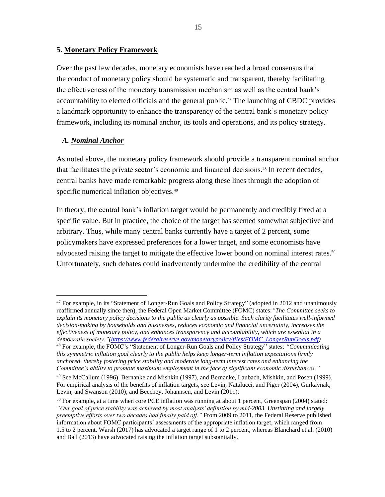### **5. Monetary Policy Framework**

Over the past few decades, monetary economists have reached a broad consensus that the conduct of monetary policy should be systematic and transparent, thereby facilitating the effectiveness of the monetary transmission mechanism as well as the central bank's accountability to elected officials and the general public.<sup>47</sup> The launching of CBDC provides a landmark opportunity to enhance the transparency of the central bank's monetary policy framework, including its nominal anchor, its tools and operations, and its policy strategy.

### *A. Nominal Anchor*

 $\overline{a}$ 

As noted above, the monetary policy framework should provide a transparent nominal anchor that facilitates the private sector's economic and financial decisions.<sup>48</sup> In recent decades, central banks have made remarkable progress along these lines through the adoption of specific numerical inflation objectives.<sup>49</sup>

In theory, the central bank's inflation target would be permanently and credibly fixed at a specific value. But in practice, the choice of the target has seemed somewhat subjective and arbitrary. Thus, while many central banks currently have a target of 2 percent, some policymakers have expressed preferences for a lower target, and some economists have advocated raising the target to mitigate the effective lower bound on nominal interest rates.<sup>50</sup> Unfortunately, such debates could inadvertently undermine the credibility of the central

<sup>&</sup>lt;sup>47</sup> For example, in its "Statement of Longer-Run Goals and Policy Strategy" (adopted in 2012 and unanimously reaffirmed annually since then), the Federal Open Market Committee (FOMC) states:*"The Committee seeks to explain its monetary policy decisions to the public as clearly as possible. Such clarity facilitates well-informed decision-making by households and businesses, reduces economic and financial uncertainty, increases the effectiveness of monetary policy, and enhances transparency and accountability, which are essential in a democratic society."[\(https://www.federalreserve.gov/monetarypolicy/files/FOMC\\_LongerRunGoals.pdf\)](https://www.federalreserve.gov/monetarypolicy/files/FOMC_LongerRunGoals.pdf)*

<sup>48</sup> For example, the FOMC's "Statement of Longer-Run Goals and Policy Strategy" states: *"Communicating this symmetric inflation goal clearly to the public helps keep longer-term inflation expectations firmly anchored, thereby fostering price stability and moderate long-term interest rates and enhancing the Committee's ability to promote maximum employment in the face of significant economic disturbances."*

<sup>&</sup>lt;sup>49</sup> See McCallum (1996), Bernanke and Mishkin (1997), and Bernanke, Laubach, Mishkin, and Posen (1999). For empirical analysis of the benefits of inflation targets, see Levin, Natalucci, and Piger (2004), Gürkaynak, Levin, and Swanson (2010), and Beechey, Johannsen, and Levin (2011).

 $50$  For example, at a time when core PCE inflation was running at about 1 percent, Greenspan (2004) stated: *"Our goal of price stability was achieved by most analysts' definition by mid-2003. Unstinting and largely preemptive efforts over two decades had finally paid off."* From 2009 to 2011, the Federal Reserve published information about FOMC participants' assessments of the appropriate inflation target, which ranged from 1.5 to 2 percent. Warsh (2017) has advocated a target range of 1 to 2 percent, whereas Blanchard et al. (2010) and Ball (2013) have advocated raising the inflation target substantially.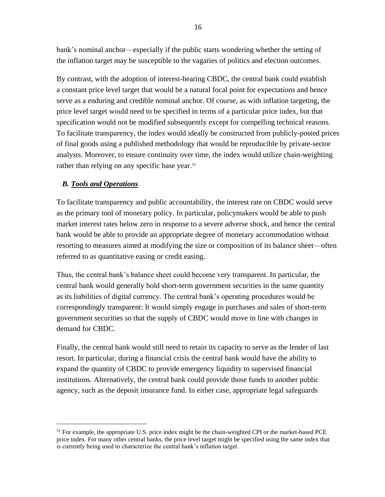bank's nominal anchor—especially if the public starts wondering whether the setting of the inflation target may be susceptible to the vagaries of politics and election outcomes.

By contrast, with the adoption of interest-bearing CBDC, the central bank could establish a constant price level target that would be a natural focal point for expectations and hence serve as a enduring and credible nominal anchor. Of course, as with inflation targeting, the price level target would need to be specified in terms of a particular price index, but that specification would not be modified subsequently except for compelling technical reasons. To facilitate transparency, the index would ideally be constructed from publicly-posted prices of final goods using a published methodology that would be reproducible by private-sector analysts. Moreover, to ensure continuity over time, the index would utilize chain-weighting rather than relying on any specific base year.<sup>51</sup>

# *B. Tools and Operations*

 $\overline{a}$ 

To facilitate transparency and public accountability, the interest rate on CBDC would serve as the primary tool of monetary policy. In particular, policymakers would be able to push market interest rates below zero in response to a severe adverse shock, and hence the central bank would be able to provide an appropriate degree of monetary accommodation without resorting to measures aimed at modifying the size or composition of its balance sheet—often referred to as quantitative easing or credit easing.

Thus, the central bank's balance sheet could become very transparent. In particular, the central bank would generally hold short-term government securities in the same quantity as its liabilities of digital currency. The central bank's operating procedures would be correspondingly transparent: It would simply engage in purchases and sales of short-term government securities so that the supply of CBDC would move in line with changes in demand for CBDC.

Finally, the central bank would still need to retain its capacity to serve as the lender of last resort. In particular, during a financial crisis the central bank would have the ability to expand the quantity of CBDC to provide emergency liquidity to supervised financial institutions. Alternatively, the central bank could provide those funds to another public agency, such as the deposit insurance fund. In either case, appropriate legal safeguards

<sup>&</sup>lt;sup>51</sup> For example, the appropriate U.S. price index might be the chain-weighted CPI or the market-based PCE price index. For many other central banks, the price level target might be specified using the same index that is currently being used to characterize the central bank's inflation target.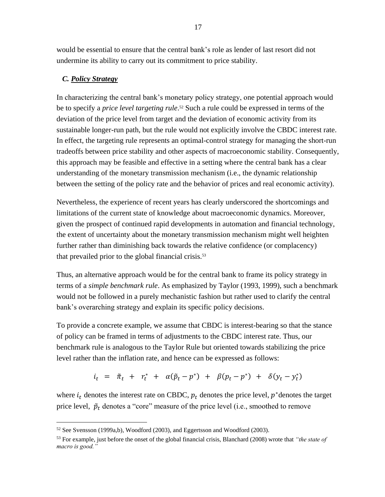would be essential to ensure that the central bank's role as lender of last resort did not undermine its ability to carry out its commitment to price stability.

### *C. Policy Strategy*

 $\overline{a}$ 

In characterizing the central bank's monetary policy strategy, one potential approach would be to specify a *price level targeting rule*. <sup>52</sup> Such a rule could be expressed in terms of the deviation of the price level from target and the deviation of economic activity from its sustainable longer-run path, but the rule would not explicitly involve the CBDC interest rate. In effect, the targeting rule represents an optimal-control strategy for managing the short-run tradeoffs between price stability and other aspects of macroeconomic stability. Consequently, this approach may be feasible and effective in a setting where the central bank has a clear understanding of the monetary transmission mechanism (i.e., the dynamic relationship between the setting of the policy rate and the behavior of prices and real economic activity).

Nevertheless, the experience of recent years has clearly underscored the shortcomings and limitations of the current state of knowledge about macroeconomic dynamics. Moreover, given the prospect of continued rapid developments in automation and financial technology, the extent of uncertainty about the monetary transmission mechanism might well heighten further rather than diminishing back towards the relative confidence (or complacency) that prevailed prior to the global financial crisis.<sup>53</sup>

Thus, an alternative approach would be for the central bank to frame its policy strategy in terms of a *simple benchmark rule*. As emphasized by Taylor (1993, 1999), such a benchmark would not be followed in a purely mechanistic fashion but rather used to clarify the central bank's overarching strategy and explain its specific policy decisions.

To provide a concrete example, we assume that CBDC is interest-bearing so that the stance of policy can be framed in terms of adjustments to the CBDC interest rate. Thus, our benchmark rule is analogous to the Taylor Rule but oriented towards stabilizing the price level rather than the inflation rate, and hence can be expressed as follows:

$$
i_t = \tilde{\pi}_t + r_t^* + \alpha(\tilde{p}_t - p^*) + \beta(p_t - p^*) + \delta(y_t - y_t^*)
$$

where  $i_t$  denotes the interest rate on CBDC,  $p_t$  denotes the price level,  $p^*$  denotes the target price level,  $\tilde{p}_t$  denotes a "core" measure of the price level (i.e., smoothed to remove

<sup>52</sup> See Svensson (1999a,b), Woodford (2003), and Eggertsson and Woodford (2003).

<sup>53</sup> For example, just before the onset of the global financial crisis, Blanchard (2008) wrote that *"the state of macro is good."*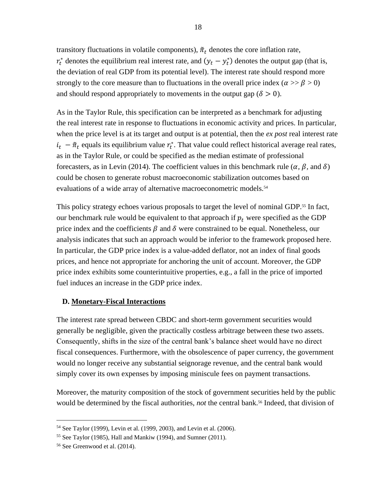transitory fluctuations in volatile components),  $\tilde{\pi}_t$  denotes the core inflation rate,  $r_t^*$  denotes the equilibrium real interest rate, and  $(y_t - y_t^*)$  denotes the output gap (that is, the deviation of real GDP from its potential level). The interest rate should respond more strongly to the core measure than to fluctuations in the overall price index ( $\alpha >> \beta > 0$ ) and should respond appropriately to movements in the output gap ( $\delta > 0$ ).

As in the Taylor Rule, this specification can be interpreted as a benchmark for adjusting the real interest rate in response to fluctuations in economic activity and prices. In particular, when the price level is at its target and output is at potential, then the *ex post* real interest rate  $i_t - \tilde{\pi}_t$  equals its equilibrium value  $r_t^*$ . That value could reflect historical average real rates, as in the Taylor Rule, or could be specified as the median estimate of professional forecasters, as in Levin (2014). The coefficient values in this benchmark rule ( $\alpha$ ,  $\beta$ , and  $\delta$ ) could be chosen to generate robust macroeconomic stabilization outcomes based on evaluations of a wide array of alternative macroeconometric models.<sup>54</sup>

This policy strategy echoes various proposals to target the level of nominal GDP.<sup>55</sup> In fact, our benchmark rule would be equivalent to that approach if  $p_t$  were specified as the GDP price index and the coefficients  $\beta$  and  $\delta$  were constrained to be equal. Nonetheless, our analysis indicates that such an approach would be inferior to the framework proposed here. In particular, the GDP price index is a value-added deflator, not an index of final goods prices, and hence not appropriate for anchoring the unit of account. Moreover, the GDP price index exhibits some counterintuitive properties, e.g., a fall in the price of imported fuel induces an increase in the GDP price index.

#### **D. Monetary-Fiscal Interactions**

The interest rate spread between CBDC and short-term government securities would generally be negligible, given the practically costless arbitrage between these two assets. Consequently, shifts in the size of the central bank's balance sheet would have no direct fiscal consequences. Furthermore, with the obsolescence of paper currency, the government would no longer receive any substantial seignorage revenue, and the central bank would simply cover its own expenses by imposing miniscule fees on payment transactions.

Moreover, the maturity composition of the stock of government securities held by the public would be determined by the fiscal authorities, *not* the central bank.<sup>56</sup> Indeed, that division of

<sup>54</sup> See Taylor (1999), Levin et al. (1999, 2003), and Levin et al. (2006).

<sup>55</sup> See Taylor (1985), Hall and Mankiw (1994), and Sumner (2011).

<sup>56</sup> See Greenwood et al. (2014).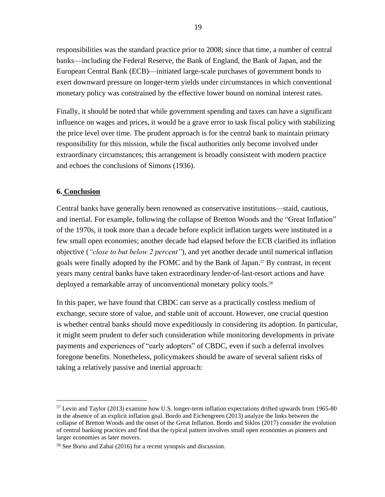responsibilities was the standard practice prior to 2008; since that time, a number of central banks—including the Federal Reserve, the Bank of England, the Bank of Japan, and the European Central Bank (ECB)—initiated large-scale purchases of government bonds to exert downward pressure on longer-term yields under circumstances in which conventional monetary policy was constrained by the effective lower bound on nominal interest rates.

Finally, it should be noted that while government spending and taxes can have a significant influence on wages and prices, it would be a grave error to task fiscal policy with stabilizing the price level over time. The prudent approach is for the central bank to maintain primary responsibility for this mission, while the fiscal authorities only become involved under extraordinary circumstances; this arrangement is broadly consistent with modern practice and echoes the conclusions of Simons (1936).

## **6. Conclusion**

 $\overline{a}$ 

Central banks have generally been renowned as conservative institutions—staid, cautious, and inertial. For example, following the collapse of Bretton Woods and the "Great Inflation" of the 1970s, it took more than a decade before explicit inflation targets were instituted in a few small open economies; another decade had elapsed before the ECB clarified its inflation objective (*"close to but below 2 percent"*), and yet another decade until numerical inflation goals were finally adopted by the FOMC and by the Bank of Japan. <sup>57</sup> By contrast, in recent years many central banks have taken extraordinary lender-of-last-resort actions and have deployed a remarkable array of unconventional monetary policy tools. 58

In this paper, we have found that CBDC can serve as a practically costless medium of exchange, secure store of value, and stable unit of account. However, one crucial question is whether central banks should move expeditiously in considering its adoption. In particular, it might seem prudent to defer such consideration while monitoring developments in private payments and experiences of "early adopters" of CBDC, even if such a deferral involves foregone benefits. Nonetheless, policymakers should be aware of several salient risks of taking a relatively passive and inertial approach:

<sup>57</sup> Levin and Taylor (2013) examine how U.S. longer-term inflation expectations drifted upwards from 1965-80 in the absence of an explicit inflation goal. Bordo and Eichengreen (2013) analyze the links between the collapse of Bretton Woods and the onset of the Great Inflation. Bordo and Siklos (2017) consider the evolution of central banking practices and find that the typical pattern involves small open economies as pioneers and larger economies as later movers.

<sup>58</sup> See Borio and Zabai (2016) for a recent synopsis and discussion.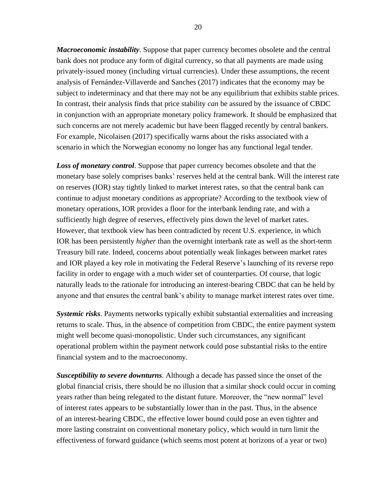*Macroeconomic instability*. Suppose that paper currency becomes obsolete and the central bank does not produce any form of digital currency, so that all payments are made using privately-issued money (including virtual currencies). Under these assumptions, the recent analysis of Fernández-Villaverde and Sanches (2017) indicates that the economy may be subject to indeterminacy and that there may not be any equilibrium that exhibits stable prices. In contrast, their analysis finds that price stability *can* be assured by the issuance of CBDC in conjunction with an appropriate monetary policy framework. It should be emphasized that such concerns are not merely academic but have been flagged recently by central bankers. For example, Nicolaisen (2017) specifically warns about the risks associated with a scenario in which the Norwegian economy no longer has any functional legal tender.

*Loss of monetary control*. Suppose that paper currency becomes obsolete and that the monetary base solely comprises banks' reserves held at the central bank. Will the interest rate on reserves (IOR) stay tightly linked to market interest rates, so that the central bank can continue to adjust monetary conditions as appropriate? According to the textbook view of monetary operations, IOR provides a floor for the interbank lending rate, and with a sufficiently high degree of reserves, effectively pins down the level of market rates. However, that textbook view has been contradicted by recent U.S. experience, in which IOR has been persistently *higher* than the overnight interbank rate as well as the short-term Treasury bill rate. Indeed, concerns about potentially weak linkages between market rates and IOR played a key role in motivating the Federal Reserve's launching of its reverse repo facility in order to engage with a much wider set of counterparties. Of course, that logic naturally leads to the rationale for introducing an interest-bearing CBDC that can be held by anyone and that ensures the central bank's ability to manage market interest rates over time.

*Systemic risks*. Payments networks typically exhibit substantial externalities and increasing returns to scale. Thus, in the absence of competition from CBDC, the entire payment system might well become quasi-monopolistic. Under such circumstances, any significant operational problem within the payment network could pose substantial risks to the entire financial system and to the macroeconomy.

*Susceptibility to severe downturns*. Although a decade has passed since the onset of the global financial crisis, there should be no illusion that a similar shock could occur in coming years rather than being relegated to the distant future. Moreover, the "new normal" level of interest rates appears to be substantially lower than in the past. Thus, in the absence of an interest-bearing CBDC, the effective lower bound could pose an even tighter and more lasting constraint on conventional monetary policy, which would in turn limit the effectiveness of forward guidance (which seems most potent at horizons of a year or two)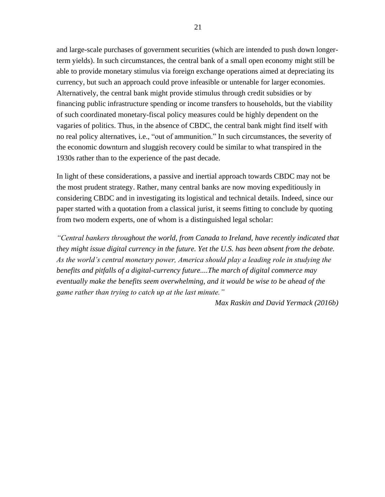and large-scale purchases of government securities (which are intended to push down longerterm yields). In such circumstances, the central bank of a small open economy might still be able to provide monetary stimulus via foreign exchange operations aimed at depreciating its currency, but such an approach could prove infeasible or untenable for larger economies. Alternatively, the central bank might provide stimulus through credit subsidies or by financing public infrastructure spending or income transfers to households, but the viability of such coordinated monetary-fiscal policy measures could be highly dependent on the vagaries of politics. Thus, in the absence of CBDC, the central bank might find itself with no real policy alternatives, i.e., "out of ammunition." In such circumstances, the severity of the economic downturn and sluggish recovery could be similar to what transpired in the 1930s rather than to the experience of the past decade.

In light of these considerations, a passive and inertial approach towards CBDC may not be the most prudent strategy. Rather, many central banks are now moving expeditiously in considering CBDC and in investigating its logistical and technical details. Indeed, since our paper started with a quotation from a classical jurist, it seems fitting to conclude by quoting from two modern experts, one of whom is a distinguished legal scholar:

*"Central bankers throughout the world, from Canada to Ireland, have recently indicated that they might issue digital currency in the future. Yet the U.S. has been absent from the debate. As the world's central monetary power, America should play a leading role in studying the benefits and pitfalls of a digital-currency future....The march of digital commerce may eventually make the benefits seem overwhelming, and it would be wise to be ahead of the game rather than trying to catch up at the last minute."*

*Max Raskin and David Yermack (2016b)*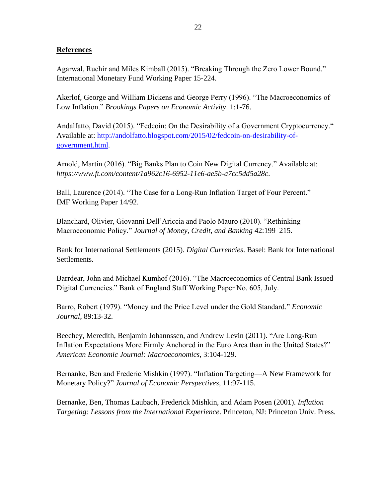## **References**

Agarwal, Ruchir and Miles Kimball (2015). "Breaking Through the Zero Lower Bound." International Monetary Fund Working Paper 15-224.

Akerlof, George and William Dickens and George Perry (1996). "The Macroeconomics of Low Inflation." *Brookings Papers on Economic Activity*. 1:1-76.

Andalfatto, David (2015). "Fedcoin: On the Desirability of a Government Cryptocurrency." Available at: [http://andolfatto.blogspot.com/2015/02/fedcoin-on-desirability-of](http://andolfatto.blogspot.com/2015/02/fedcoin-on-desirability-of-government.html)[government.html](http://andolfatto.blogspot.com/2015/02/fedcoin-on-desirability-of-government.html)*.*

Arnold, Martin (2016). "Big Banks Plan to Coin New Digital Currency." Available at: *<https://www.ft.com/content/1a962c16-6952-11e6-ae5b-a7cc5dd5a28c>*.

Ball, Laurence (2014). "The Case for a Long-Run Inflation Target of Four Percent." IMF Working Paper 14/92.

Blanchard, Olivier, Giovanni Dell'Ariccia and Paolo Mauro (2010). "Rethinking Macroeconomic Policy." *Journal of Money, Credit, and Banking* 42:199–215.

Bank for International Settlements (2015). *Digital Currencies*. Basel: Bank for International Settlements.

Barrdear, John and Michael Kumhof (2016). "The Macroeconomics of Central Bank Issued Digital Currencies." Bank of England Staff Working Paper No. 605, July.

Barro, Robert (1979). "Money and the Price Level under the Gold Standard." *Economic Journal*, 89:13-32.

Beechey, Meredith, Benjamin Johannssen, and Andrew Levin (2011). "Are Long-Run Inflation Expectations More Firmly Anchored in the Euro Area than in the United States?" *American Economic Journal: Macroeconomics*, 3:104-129.

Bernanke, Ben and Frederic Mishkin (1997). "Inflation Targeting—A New Framework for Monetary Policy?" *Journal of Economic Perspectives,* 11:97-115.

Bernanke, Ben, Thomas Laubach, Frederick Mishkin, and Adam Posen (2001). *Inflation Targeting: Lessons from the International Experience*. Princeton, NJ: Princeton Univ. Press.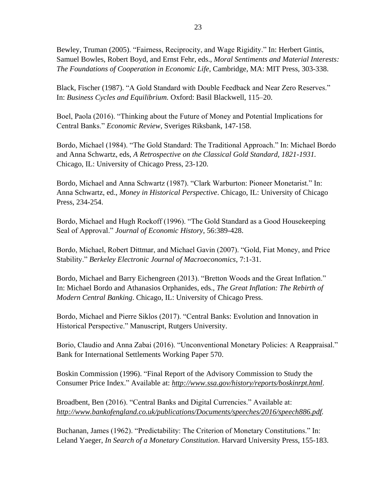Bewley, Truman (2005). "Fairness, Reciprocity, and Wage Rigidity." In: Herbert Gintis, Samuel Bowles, Robert Boyd, and Ernst Fehr, eds., *Moral Sentiments and Material Interests: The Foundations of Cooperation in Economic Life*, Cambridge, MA: MIT Press, 303-338.

Black, Fischer (1987). "A Gold Standard with Double Feedback and Near Zero Reserves." In: *Business Cycles and Equilibrium.* Oxford: Basil Blackwell, 115–20.

Boel, Paola (2016). "Thinking about the Future of Money and Potential Implications for Central Banks." *Economic Review*, Sveriges Riksbank, 147-158.

Bordo, Michael (1984). "The Gold Standard: The Traditional Approach." In: Michael Bordo and Anna Schwartz, eds, *A Retrospective on the Classical Gold Standard, 1821-1931.*  Chicago, IL: University of Chicago Press, 23-120.

Bordo, Michael and Anna Schwartz (1987). "Clark Warburton: Pioneer Monetarist." In: Anna Schwartz, ed., *Money in Historical Perspective*. Chicago, IL: University of Chicago Press, 234-254.

Bordo, Michael and Hugh Rockoff (1996). "The Gold Standard as a Good Housekeeping Seal of Approval." *Journal of Economic History*, 56:389-428.

Bordo, Michael, Robert Dittmar, and Michael Gavin (2007). "Gold, Fiat Money, and Price Stability." *Berkeley Electronic Journal of Macroeconomics*, 7:1-31.

Bordo, Michael and Barry Eichengreen (2013). "Bretton Woods and the Great Inflation." In: Michael Bordo and Athanasios Orphanides, eds., *The Great Inflation: The Rebirth of Modern Central Banking*. Chicago, IL: University of Chicago Press.

Bordo, Michael and Pierre Siklos (2017). "Central Banks: Evolution and Innovation in Historical Perspective." Manuscript, Rutgers University.

Borio, Claudio and Anna Zabai (2016). "Unconventional Monetary Policies: A Reappraisal." Bank for International Settlements Working Paper 570.

Boskin Commission (1996). "Final Report of the Advisory Commission to Study the Consumer Price Index." Available at: *<http://www.ssa.gov/history/reports/boskinrpt.html>*.

Broadbent, Ben (2016). "Central Banks and Digital Currencies." Available at: *[http://www.bankofengland.co.uk/publications/Documents/speeches/2016/speech886.pdf.](http://www.bankofengland.co.uk/publications/Documents/speeches/2016/speech886.pdf)*

Buchanan, James (1962). "Predictability: The Criterion of Monetary Constitutions." In: Leland Yaeger, *In Search of a Monetary Constitution*. Harvard University Press, 155-183.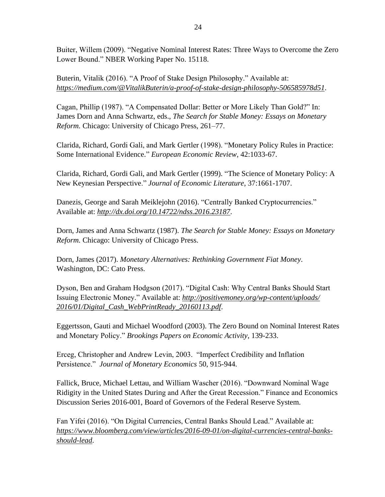Buiter, Willem (2009). "Negative Nominal Interest Rates: Three Ways to Overcome the Zero Lower Bound." NBER Working Paper No. 15118.

Buterin, Vitalik (2016). "A Proof of Stake Design Philosophy." Available at: *<https://medium.com/@VitalikButerin/a-proof-of-stake-design-philosophy-506585978d51>*.

Cagan, Phillip (1987). "A Compensated Dollar: Better or More Likely Than Gold?" In: James Dorn and Anna Schwartz, eds., *The Search for Stable Money: Essays on Monetary Reform.* Chicago: University of Chicago Press, 261–77.

Clarida, Richard, Gordi Gali, and Mark Gertler (1998). "Monetary Policy Rules in Practice: Some International Evidence." *European Economic Review*, 42:1033-67.

Clarida, Richard, Gordi Gali, and Mark Gertler (1999). "The Science of Monetary Policy: A New Keynesian Perspective." *Journal of Economic Literature*, 37:1661-1707.

Danezis, George and Sarah Meiklejohn (2016). "Centrally Banked Cryptocurrencies." Available at: *<http://dx.doi.org/10.14722/ndss.2016.23187>*.

Dorn, James and Anna Schwartz (1987). *The Search for Stable Money: Essays on Monetary Reform.* Chicago: University of Chicago Press.

Dorn, James (2017). *Monetary Alternatives: Rethinking Government Fiat Money*. Washington, DC: Cato Press.

Dyson, Ben and Graham Hodgson (2017). "Digital Cash: Why Central Banks Should Start Issuing Electronic Money." Available at: *[http://positivemoney.org/wp-content/uploads/](http://positivemoney.org/wp-content/uploads/2016/01/Digital_Cash_WebPrintReady_20160113.pdf) [2016/01/Digital\\_Cash\\_WebPrintReady\\_20160113.pdf](http://positivemoney.org/wp-content/uploads/2016/01/Digital_Cash_WebPrintReady_20160113.pdf)*.

Eggertsson, Gauti and Michael Woodford (2003). The Zero Bound on Nominal Interest Rates and Monetary Policy." *Brookings Papers on Economic Activity*, 139-233.

Erceg, Christopher and Andrew Levin, 2003. "Imperfect Credibility and Inflation Persistence." *Journal of Monetary Economics* 50, 915-944.

Fallick, Bruce, Michael Lettau, and William Wascher (2016). "Downward Nominal Wage Ridigity in the United States During and After the Great Recession." Finance and Economics Discussion Series 2016-001, Board of Governors of the Federal Reserve System.

Fan Yifei (2016). "On Digital Currencies, Central Banks Should Lead." Available at: *[https://www.bloomberg.com/view/articles/2016-09-01/on-digital-currencies-central-banks](https://www.bloomberg.com/view/articles/2016-09-01/on-digital-currencies-central-banks-should-lead)[should-lead](https://www.bloomberg.com/view/articles/2016-09-01/on-digital-currencies-central-banks-should-lead)*.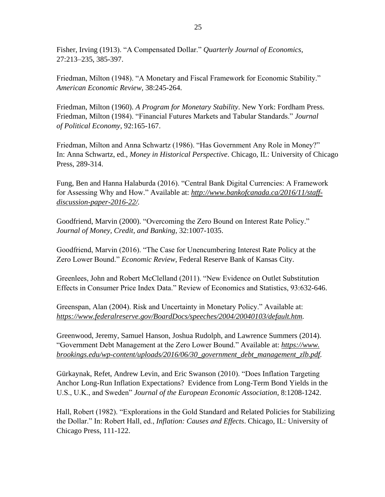Fisher, Irving (1913). "A Compensated Dollar." *Quarterly Journal of Economics,*  27:213–235, 385-397.

Friedman, Milton (1948). "A Monetary and Fiscal Framework for Economic Stability." *American Economic Review,* 38:245-264.

Friedman, Milton (1960). *A Program for Monetary Stability*. New York: Fordham Press. Friedman, Milton (1984). "Financial Futures Markets and Tabular Standards." *Journal of Political Economy*, 92:165-167.

Friedman, Milton and Anna Schwartz (1986). "Has Government Any Role in Money?" In: Anna Schwartz, ed., *Money in Historical Perspective*. Chicago, IL: University of Chicago Press, 289-314.

Fung, Ben and Hanna Halaburda (2016). "Central Bank Digital Currencies: A Framework for Assessing Why and How." Available at: *[http://www.bankofcanada.ca/2016/11/staff](http://www.bankofcanada.ca/2016/11/staff-discussion-paper-2016-22/)[discussion-paper-2016-22/.](http://www.bankofcanada.ca/2016/11/staff-discussion-paper-2016-22/)*

Goodfriend, Marvin (2000). "Overcoming the Zero Bound on Interest Rate Policy." *Journal of Money, Credit, and Banking,* 32:1007-1035.

Goodfriend, Marvin (2016). "The Case for Unencumbering Interest Rate Policy at the Zero Lower Bound." *Economic Review*, Federal Reserve Bank of Kansas City.

Greenlees, John and Robert McClelland (2011). "New Evidence on Outlet Substitution Effects in Consumer Price Index Data." Review of Economics and Statistics, 93:632-646.

Greenspan, Alan (2004). Risk and Uncertainty in Monetary Policy." Available at: *[https://www.federalreserve.gov/BoardDocs/speeches/2004/20040103/default.htm.](https://www.federalreserve.gov/BoardDocs/speeches/2004/20040103/default.htm)*

Greenwood, Jeremy, Samuel Hanson, Joshua Rudolph, and Lawrence Summers (2014). "Government Debt Management at the Zero Lower Bound." Available at: *[https://www.](https://www.brookings.edu/wp-content/uploads/2016/06/30_government_debt_management_zlb.pdf) [brookings.edu/wp-content/uploads/2016/06/30\\_government\\_debt\\_management\\_zlb.pdf.](https://www.brookings.edu/wp-content/uploads/2016/06/30_government_debt_management_zlb.pdf)* 

Gürkaynak, Refet, Andrew Levin, and Eric Swanson (2010). "Does Inflation Targeting Anchor Long-Run Inflation Expectations? Evidence from Long-Term Bond Yields in the U.S., U.K., and Sweden" *Journal of the European Economic Association*, 8:1208-1242.

Hall, Robert (1982). "Explorations in the Gold Standard and Related Policies for Stabilizing the Dollar." In: Robert Hall, ed., *Inflation: Causes and Effects*. Chicago, IL: University of Chicago Press, 111-122.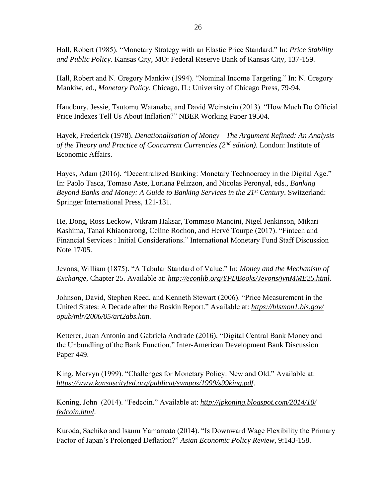Hall, Robert (1985). "Monetary Strategy with an Elastic Price Standard." In: *Price Stability and Public Policy.* Kansas City, MO: Federal Reserve Bank of Kansas City, 137-159.

Hall, Robert and N. Gregory Mankiw (1994). "Nominal Income Targeting." In: N. Gregory Mankiw, ed., *Monetary Policy*. Chicago, IL: University of Chicago Press, 79-94.

Handbury, Jessie, Tsutomu Watanabe, and David Weinstein (2013). "How Much Do Official Price Indexes Tell Us About Inflation?" NBER Working Paper 19504.

Hayek, Frederick (1978). *Denationalisation of Money—The Argument Refined: An Analysis of the Theory and Practice of Concurrent Currencies (2nd edition).* London: Institute of Economic Affairs.

Hayes, Adam (2016). "Decentralized Banking: Monetary Technocracy in the Digital Age." In: Paolo Tasca, Tomaso Aste, Loriana Pelizzon, and Nicolas Peronyal, eds., *Banking Beyond Banks and Money: A Guide to Banking Services in the 21st Century*. Switzerland: Springer International Press, 121-131.

He, Dong, Ross Leckow, Vikram Haksar, Tommaso Mancini, Nigel Jenkinson, Mikari Kashima, Tanai Khiaonarong, Celine Rochon, and Hervé Tourpe (2017). "Fintech and Financial Services : Initial Considerations." International Monetary Fund Staff Discussion Note 17/05.

Jevons, William (1875). "A Tabular Standard of Value." In: *Money and the Mechanism of Exchange*, Chapter 25. Available at: *[http://econlib.org/YPDBooks/Jevons/jvnMME25.html.](http://www.econlib.org/YPDBooks/Jevons/jvnMME25.html)*

Johnson, David, Stephen Reed, and Kenneth Stewart (2006). "Price Measurement in the United States: A Decade after the Boskin Report." Available at: *[https://blsmon1.bls.gov/](https://blsmon1.bls.gov/opub/mlr/2006/05/art2abs.htm) [opub/mlr/2006/05/art2abs.htm.](https://blsmon1.bls.gov/opub/mlr/2006/05/art2abs.htm)*

Ketterer, Juan Antonio and Gabriela Andrade (2016). "Digital Central Bank Money and the Unbundling of the Bank Function." Inter-American Development Bank Discussion Paper 449.

King, Mervyn (1999). "Challenges for Monetary Policy: New and Old." Available at: *<https://www.kansascityfed.org/publicat/sympos/1999/s99king.pdf>*.

Koning, John (2014). "Fedcoin." Available at: *[http://jpkoning.blogspot.com/2014/10/](http://jpkoning.blogspot.com/2014/10/fedcoin.html) [fedcoin.html](http://jpkoning.blogspot.com/2014/10/fedcoin.html)*.

Kuroda, Sachiko and Isamu Yamamato (2014). "Is Downward Wage Flexibility the Primary Factor of Japan's Prolonged Deflation?" *Asian Economic Policy Review*, 9:143-158.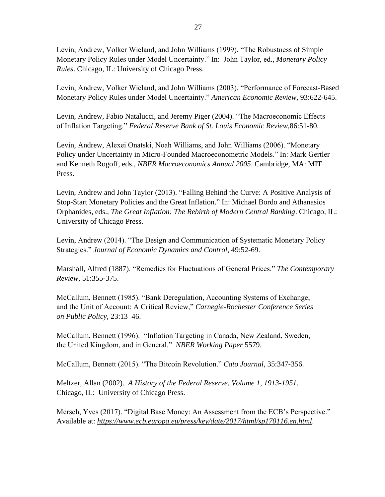Levin, Andrew, Volker Wieland, and John Williams (1999). "The Robustness of Simple Monetary Policy Rules under Model Uncertainty." In: John Taylor, ed., *Monetary Policy Rules*. Chicago, IL: University of Chicago Press.

Levin, Andrew, Volker Wieland, and John Williams (2003). "Performance of Forecast-Based Monetary Policy Rules under Model Uncertainty." *American Economic Review,* 93:622-645.

Levin, Andrew, Fabio Natalucci, and Jeremy Piger (2004). "The Macroeconomic Effects of Inflation Targeting." *Federal Reserve Bank of St. Louis Economic Review,*86:51-80.

Levin, Andrew, Alexei Onatski, Noah Williams, and John Williams (2006). "Monetary Policy under Uncertainty in Micro-Founded Macroeconometric Models." In: Mark Gertler and Kenneth Rogoff, eds., *NBER Macroeconomics Annual 2005*. Cambridge, MA: MIT Press.

Levin, Andrew and John Taylor (2013). ["Falling Behind the Curve: A Positive Analysis of](http://ideas.repec.org/p/nbr/nberwo/15630.html)  [Stop-Start Monetary Policies and the Great Inflation.](http://ideas.repec.org/p/nbr/nberwo/15630.html)" In: Michael Bordo and Athanasios Orphanides, eds., *The Great Inflation: The Rebirth of Modern Central Banking*. Chicago, IL: University of Chicago Press.

Levin, Andrew (2014). "The Design and Communication of Systematic Monetary Policy Strategies." *Journal of Economic Dynamics and Control*, 49:52-69.

Marshall, Alfred (1887). "Remedies for Fluctuations of General Prices." *The Contemporary Review*, 51:355-375.

McCallum, Bennett (1985). "Bank Deregulation, Accounting Systems of Exchange, and the Unit of Account: A Critical Review," *Carnegie-Rochester Conference Series on Public Policy,* 23:13–46.

McCallum, Bennett (1996). "Inflation Targeting in Canada, New Zealand, Sweden, the United Kingdom, and in General." *NBER Working Paper* 5579.

McCallum, Bennett (2015). "The Bitcoin Revolution." *Cato Journal*, 35:347-356.

Meltzer, Allan (2002). *A History of the Federal Reserve, Volume 1, 1913-1951*. Chicago, IL: University of Chicago Press.

Mersch, Yves (2017). "Digital Base Money: An Assessment from the ECB's Perspective." Available at: *<https://www.ecb.europa.eu/press/key/date/2017/html/sp170116.en.html>*.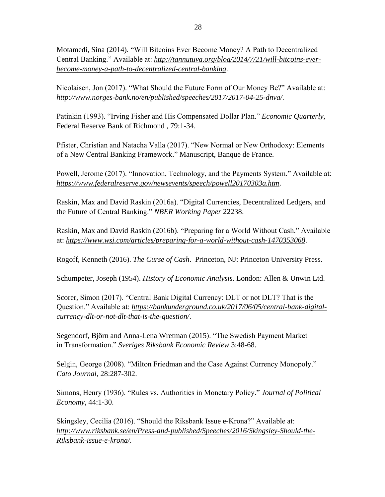Motamedi, Sina (2014). "Will Bitcoins Ever Become Money? A Path to Decentralized Central Banking." Available at: *[http://tannutuva.org/blog/2014/7/21/will-bitcoins-ever](http://tannutuva.org/blog/2014/7/21/will-bitcoins-ever-become-money-a-path-to-decentralized-central-banking)[become-money-a-path-to-decentralized-central-banking](http://tannutuva.org/blog/2014/7/21/will-bitcoins-ever-become-money-a-path-to-decentralized-central-banking)*.

Nicolaisen, Jon (2017). "What Should the Future Form of Our Money Be?" Available at: *[http://www.norges-bank.no/en/published/speeches/2017/2017-04-25-dnva/.](http://www.norges-bank.no/en/published/speeches/2017/2017-04-25-dnva/)* 

Patinkin (1993). "Irving Fisher and His Compensated Dollar Plan." *Economic Quarterly,*  Federal Reserve Bank of Richmond , 79:1-34.

Pfister, Christian and Natacha Valla (2017). "New Normal or New Orthodoxy: Elements of a New Central Banking Framework." Manuscript, Banque de France.

Powell, Jerome (2017). "Innovation, Technology, and the Payments System." Available at: *<https://www.federalreserve.gov/newsevents/speech/powell20170303a.htm>*.

Raskin, Max and David Raskin (2016a). "Digital Currencies, Decentralized Ledgers, and the Future of Central Banking." *NBER Working Paper* 22238.

Raskin, Max and David Raskin (2016b). "Preparing for a World Without Cash." Available at: *<https://www.wsj.com/articles/preparing-for-a-world-without-cash-1470353068>*.

Rogoff, Kenneth (2016). *The Curse of Cash*. Princeton, NJ: Princeton University Press.

Schumpeter, Joseph (1954). *History of Economic Analysis*. London: Allen & Unwin Ltd.

Scorer, Simon (2017). "Central Bank Digital Currency: DLT or not DLT? That is the Question." Available at: *[https://bankunderground.co.uk/2017/06/05/central-bank-digital](https://bankunderground.co.uk/2017/06/05/central-bank-digital-currency-dlt-or-not-dlt-that-is-the-question/)[currency-dlt-or-not-dlt-that-is-the-question/](https://bankunderground.co.uk/2017/06/05/central-bank-digital-currency-dlt-or-not-dlt-that-is-the-question/)*.

Segendorf, Björn and Anna-Lena Wretman (2015). "The Swedish Payment Market in Transformation." *Sveriges Riksbank Economic Review* 3:48-68.

Selgin, George (2008). "Milton Friedman and the Case Against Currency Monopoly." *Cato Journal*, 28:287-302.

Simons, Henry (1936). "Rules vs. Authorities in Monetary Policy." *Journal of Political Economy*, 44:1-30.

Skingsley, Cecilia (2016). "Should the Riksbank Issue e-Krona?" Available at: *[http://www.riksbank.se/en/Press-and-published/Speeches/2016/Skingsley-Should-the-](http://www.riksbank.se/en/Press-and-published/Speeches/2016/Skingsley-Should-the-Riksbank-issue-e-krona/)[Riksbank-issue-e-krona/.](http://www.riksbank.se/en/Press-and-published/Speeches/2016/Skingsley-Should-the-Riksbank-issue-e-krona/)*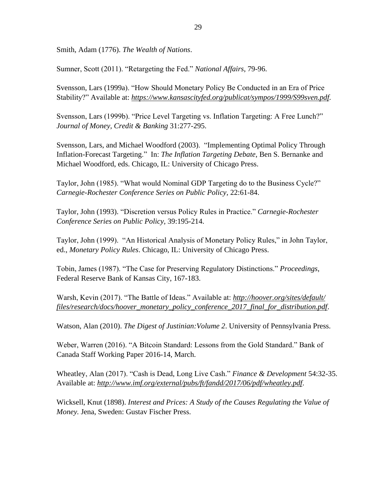Smith, Adam (1776). *The Wealth of Nations*.

Sumner, Scott (2011). "Retargeting the Fed." *National Affairs*, 79-96.

Svensson, Lars (1999a). "How Should Monetary Policy Be Conducted in an Era of Price Stability?" Available at: *[https://www.kansascityfed.org/publicat/sympos/1999/S99sven.pdf.](https://www.kansascityfed.org/publicat/sympos/1999/S99sven.pdf)*

Svensson, Lars (1999b). "Price Level Targeting vs. Inflation Targeting: A Free Lunch?" *Journal of Money, Credit & Banking* 31:277-295.

Svensson, Lars, and Michael Woodford (2003). "Implementing Optimal Policy Through Inflation-Forecast Targeting." In: *The Inflation Targeting Debate*, Ben S. Bernanke and Michael Woodford, eds. Chicago, IL: University of Chicago Press.

Taylor, John (1985). "What would Nominal GDP Targeting do to the Business Cycle?" *Carnegie-Rochester Conference Series on Public Policy,* 22:61-84.

Taylor, John (1993). "Discretion versus Policy Rules in Practice." *Carnegie-Rochester Conference Series on Public Policy,* 39:195-214.

Taylor, John (1999). "An Historical Analysis of Monetary Policy Rules," in John Taylor, ed., *Monetary Policy Rules*. Chicago, IL: University of Chicago Press.

Tobin, James (1987). "The Case for Preserving Regulatory Distinctions." *Proceedings*, Federal Reserve Bank of Kansas City, 167-183.

Warsh, Kevin (2017). "The Battle of Ideas." Available at: *[http://hoover.org/sites/default/](http://hoover.org/sites/‌default/files/research/docs/hoover_monetary_policy_conference_2017_final_for_distribution.pdf) [files/research/docs/hoover\\_monetary\\_policy\\_conference\\_2017\\_final\\_for\\_distribution.pdf](http://hoover.org/sites/‌default/files/research/docs/hoover_monetary_policy_conference_2017_final_for_distribution.pdf)*.

Watson, Alan (2010). *The Digest of Justinian:Volume 2*. University of Pennsylvania Press.

Weber, Warren (2016). "A Bitcoin Standard: Lessons from the Gold Standard." Bank of Canada Staff Working Paper 2016-14, March.

Wheatley, Alan (2017). "Cash is Dead, Long Live Cash." *Finance & Development* 54:32-35. Available at: *<http://www.imf.org/external/pubs/ft/fandd/2017/06/pdf/wheatley.pdf>*.

Wicksell, Knut (1898). *Interest and Prices: A Study of the Causes Regulating the Value of Money.* Jena, Sweden: Gustav Fischer Press.